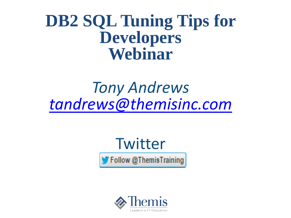### **DB2 SQL Tuning Tips for Developers Webinar**

## *Tony Andrews [tandrews@themisinc.com](mailto:tandrews@themisinc.com)*



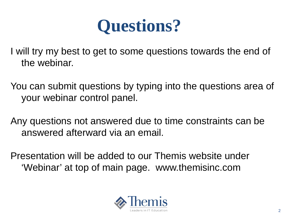

I will try my best to get to some questions towards the end of the webinar.

You can submit questions by typing into the questions area of your webinar control panel.

Any questions not answered due to time constraints can be answered afterward via an email.

Presentation will be added to our Themis website under 'Webinar' at top of main page. www.themisinc.com

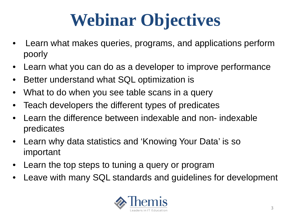# **Webinar Objectives**

- Learn what makes queries, programs, and applications perform poorly
- Learn what you can do as a developer to improve performance
- Better understand what SQL optimization is
- What to do when you see table scans in a query
- Teach developers the different types of predicates
- Learn the difference between indexable and non- indexable predicates
- Learn why data statistics and 'Knowing Your Data' is so important
- Learn the top steps to tuning a query or program
- Leave with many SQL standards and guidelines for development

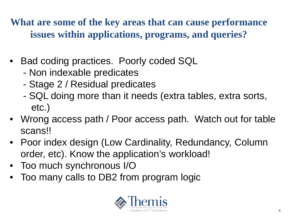**What are some of the key areas that can cause performance issues within applications, programs, and queries?**

- Bad coding practices. Poorly coded SQL
	- Non indexable predicates
	- Stage 2 / Residual predicates
	- SQL doing more than it needs (extra tables, extra sorts, etc.)
- Wrong access path / Poor access path. Watch out for table scans!!
- Poor index design (Low Cardinality, Redundancy, Column order, etc). Know the application's workload!
- Too much synchronous I/O
- Too many calls to DB2 from program logic

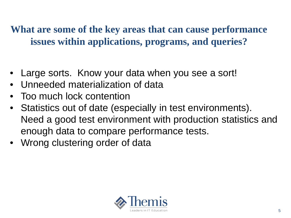**What are some of the key areas that can cause performance issues within applications, programs, and queries?**

- Large sorts. Know your data when you see a sort!
- Unneeded materialization of data
- Too much lock contention
- Statistics out of date (especially in test environments). Need a good test environment with production statistics and enough data to compare performance tests.
- Wrong clustering order of data

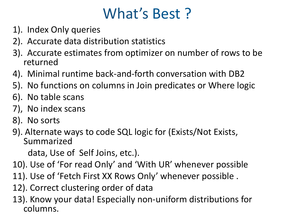### What's Best ?

- 1). Index Only queries
- 2). Accurate data distribution statistics
- 3). Accurate estimates from optimizer on number of rows to be returned
- 4). Minimal runtime back-and-forth conversation with DB2
- 5). No functions on columns in Join predicates or Where logic
- 6). No table scans
- 7), No index scans
- 8). No sorts
- 9). Alternate ways to code SQL logic for (Exists/Not Exists, Summarized

data, Use of Self Joins, etc.).

- 10). Use of 'For read Only' and 'With UR' whenever possible
- 11). Use of 'Fetch First XX Rows Only' whenever possible .
- 12). Correct clustering order of data
- 13). Know your data! Especially non-uniform distributions for columns.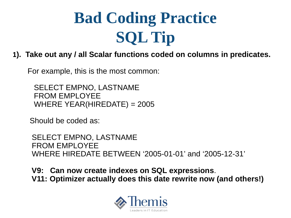# **Bad Coding Practice SQL Tip**

### **1). Take out any / all Scalar functions coded on columns in predicates.**

For example, this is the most common:

SELECT EMPNO, LASTNAME FROM EMPLOYEE WHERE YEAR(HIREDATE) =  $2005$ 

Should be coded as:

SELECT EMPNO, LASTNAME FROM EMPLOYEE WHERE HIREDATE BETWEEN '2005-01-01' and '2005-12-31'

**V9: Can now create indexes on SQL expressions**. **V11: Optimizer actually does this date rewrite now (and others!)** 

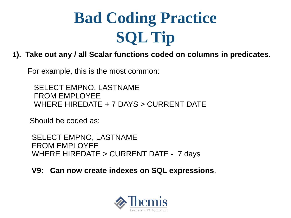# **Bad Coding Practice SQL Tip**

### **1). Take out any / all Scalar functions coded on columns in predicates.**

For example, this is the most common:

SELECT EMPNO, LASTNAME FROM EMPLOYEE WHERE HIREDATE + 7 DAYS > CURRENT DATE

Should be coded as:

SELECT EMPNO, LASTNAME FROM EMPLOYEE WHERE HIREDATE > CURRENT DATE - 7 days

**V9: Can now create indexes on SQL expressions**.

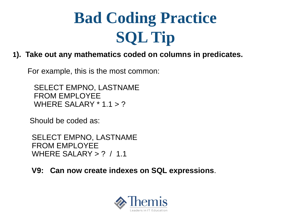# **Bad Coding Practice SQL Tip**

**1). Take out any mathematics coded on columns in predicates.**

For example, this is the most common:

SELECT EMPNO, LASTNAME FROM EMPLOYEE WHERE SALARY  $*$  1.1  $>$  ?

Should be coded as:

SELECT EMPNO, LASTNAME FROM EMPLOYEE WHERE SALARY > ? / 1.1

**V9: Can now create indexes on SQL expressions**.

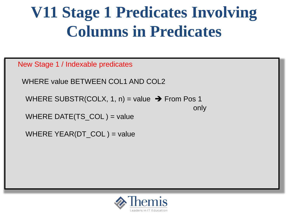# **V11 Stage 1 Predicates Involving Columns in Predicates**

New Stage 1 / Indexable predicates

WHERE value BETWEEN COL1 AND COL2

WHERE SUBSTR(COLX, 1, n) = value  $\rightarrow$  From Pos 1

only

WHERE DATE(TS\_COL) = value

WHERE YEAR(DT\_COL) = value

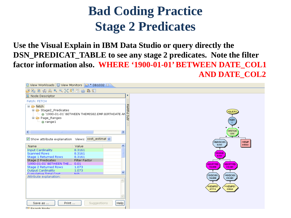### **Bad Coding Practice Stage 2 Predicates**

**Use the Visual Explain in IBM Data Studio or query directly the DSN\_PREDICAT\_TABLE to see any stage 2 predicates. Note the filter factor information also. WHERE '1900-01-01' BETWEEN DATE\_COL1 AND DATE\_COL2** 

| 13 View Workloads   日 View Monitors   臼 * DB1032 ⊠                                                                                                            |               |                       |                                                    |  |  |  |  |
|---------------------------------------------------------------------------------------------------------------------------------------------------------------|---------------|-----------------------|----------------------------------------------------|--|--|--|--|
| 少吃口肉臭くくご相當色色酒                                                                                                                                                 |               |                       |                                                    |  |  |  |  |
| <b>B</b> Node Descriptor                                                                                                                                      |               |                       |                                                    |  |  |  |  |
| Fetch: FETCH                                                                                                                                                  |               |                       |                                                    |  |  |  |  |
| $\Box$ $\triangleright$ fetch<br>□ & Stage2_Predicates<br>் @ '1990-01-01' BETWEEN THEMIS82.EMP.BIRTHDATE AN<br><b>E-<del>C</del></b> Page Ranges<br>@ range1 |               |                       | <b>G</b> Palette<br>(IQUER)<br>र्दे<br>(2QB1       |  |  |  |  |
| к<br>$-100$                                                                                                                                                   |               | ≯                     | <b>@FETCH</b><br>1.073                             |  |  |  |  |
| Show attribute explanation Views: cost_estimal v                                                                                                              | Value         | $\boldsymbol{\wedge}$ | <b>MIXSCAN</b><br>(12)EMP<br>8.3161<br>51834.0     |  |  |  |  |
| Name<br><b>Input Cardinality</b>                                                                                                                              | 8.3161        |                       |                                                    |  |  |  |  |
| <b>Scanned Rows</b>                                                                                                                                           | 8.3161        |                       | <b>GIXAND</b>                                      |  |  |  |  |
| Stage 1 Returned Rows                                                                                                                                         | 8.3161        |                       | 8.3161                                             |  |  |  |  |
| Stage 2 Predicates                                                                                                                                            | Filter Factor |                       |                                                    |  |  |  |  |
| '1990-01-01' BETWEEN THE 0.01                                                                                                                                 |               |                       | <b>RSORTRID</b><br><b>SORTRID</b>                  |  |  |  |  |
| Stage 2 Returned Rows                                                                                                                                         | 1.073         |                       | 734.0098<br>518.3401                               |  |  |  |  |
| <b>Output Cardinality</b><br>Cumulative Total Cost                                                                                                            | 1.073<br>M/A. | $\checkmark$          |                                                    |  |  |  |  |
| Attribute explanation:                                                                                                                                        |               |                       | (10)XSCAN<br><b>MXSCAN</b>                         |  |  |  |  |
|                                                                                                                                                               |               |                       | 734.0098<br>518.3401                               |  |  |  |  |
|                                                                                                                                                               |               |                       | <b>WXEMP03</b><br>(11)XEMP01<br>47777.0<br>51834.0 |  |  |  |  |
|                                                                                                                                                               |               |                       |                                                    |  |  |  |  |
| Print<br>Save as                                                                                                                                              | Suggestions   | Help                  |                                                    |  |  |  |  |

22 Search Node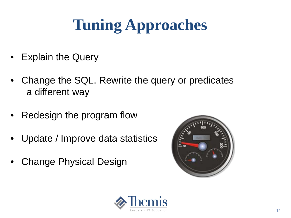# **Tuning Approaches**

- Explain the Query
- Change the SQL. Rewrite the query or predicates a different way
- Redesign the program flow
- Update / Improve data statistics
- **Change Physical Design**



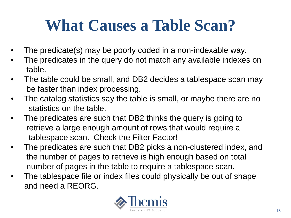# **What Causes a Table Scan?**

- The predicate(s) may be poorly coded in a non-indexable way.
- The predicates in the query do not match any available indexes on table.
- The table could be small, and DB2 decides a tablespace scan may be faster than index processing.
- The catalog statistics say the table is small, or maybe there are no statistics on the table.
- The predicates are such that DB2 thinks the query is going to retrieve a large enough amount of rows that would require a tablespace scan. Check the Filter Factor!
- The predicates are such that DB2 picks a non-clustered index, and the number of pages to retrieve is high enough based on total number of pages in the table to require a tablespace scan.
- The tablespace file or index files could physically be out of shape and need a REORG.

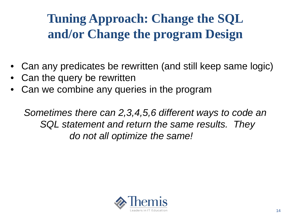### **Tuning Approach: Change the SQL and/or Change the program Design**

- Can any predicates be rewritten (and still keep same logic)
- Can the query be rewritten
- Can we combine any queries in the program

*Sometimes there can 2,3,4,5,6 different ways to code an SQL statement and return the same results. They do not all optimize the same!* 

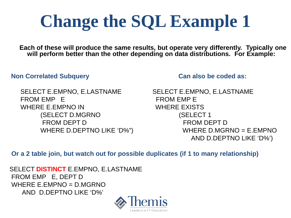# **Change the SQL Example 1**

**Each of these will produce the same results, but operate very differently. Typically one will perform better than the other depending on data distributions. For Example:**

### **Non Correlated Subquery Can also be coded as:**

SELECT E.EMPNO, E.LASTNAME SELECT E.EMPNO, E.LASTNAME FROM EMP E FROM EMP E WHERE E.EMPNO IN WHERE EXISTS (SELECT D.MGRNO (SELECT 1 FROM DEPT D FROM DEPT D

WHERE D.DEPTNO LIKE 'D%") WHERE D.MGRNO = E.EMPNO AND D.DEPTNO LIKE 'D%')

**Or a 2 table join, but watch out for possible duplicates (if 1 to many relationship)**

SELECT **DISTINCT** E.EMPNO, E.LASTNAME FROM EMP E, DEPT D WHERE E. EMPNO =  $D$  MGRNO AND D.DEPTNO LIKE 'D%'

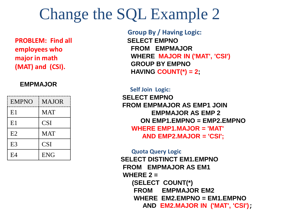### Change the SQL Example 2

**PROBLEM: Find all employees who major in math (MAT) and (CSI).**

### **EMPMAJOR**

| <b>EMPNO</b>   | <b>MAJOR</b> |
|----------------|--------------|
| E1             | <b>MAT</b>   |
| E1             | <b>CSI</b>   |
| E2             | <b>MAT</b>   |
| E <sub>3</sub> | <b>CSI</b>   |
| E4             | <b>ENG</b>   |

**Group By / Having Logic: SELECT EMPNO FROM EMPMAJOR WHERE MAJOR IN ('MAT', 'CSI') GROUP BY EMPNO HAVING COUNT(\*) = 2;**

**Self Join Logic: SELECT EMPNO FROM EMPMAJOR AS EMP1 JOIN EMPMAJOR AS EMP 2 ON EMP1.EMPNO = EMP2.EMPNO WHERE EMP1.MAJOR = 'MAT' AND EMP2.MAJOR = 'CSI';**

**Quota Query Logic SELECT DISTINCT EM1.EMPNO FROM EMPMAJOR AS EM1 WHERE 2 = (SELECT COUNT(\*) FROM EMPMAJOR EM2 WHERE EM2.EMPNO = EM1.EMPNO AND EM2.MAJOR IN ('MAT', 'CSI');**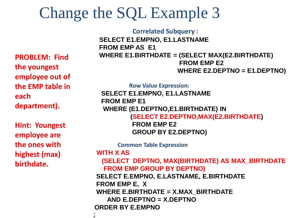## Change the SQL Example 3

**PROBLEM: Find the youngest employee out of the EMP table in each department).**

**Hint: Youngest employee are the ones with highest (max) birthdate.**

**Correlated Subquery : SELECT E1.EMPNO, E1.LASTNAME FROM EMP AS E1 WHERE E1.BIRTHDATE = (SELECT MAX(E2.BIRTHDATE) FROM EMP E2 WHERE E2.DEPTNO = E1.DEPTNO)**

**Row Value Expression:** 

**SELECT E1.EMPNO, E1.LASTNAME FROM EMP E1 WHERE (E1.DEPTNO,E1.BIRTHDATE) IN (SELECT E2.DEPTNO,MAX(E2.BIRTHDATE) FROM EMP E2**

**GROUP BY E2.DEPTNO)**

**Common Table Expression** 

**WITH X AS** 

;

**(SELECT DEPTNO, MAX(BIRTHDATE) AS MAX\_BIRTHDATE FROM EMP GROUP BY DEPTNO)** 

**SELECT E.EMPNO, E.LASTNAME, E.BIRTHDATE FROM EMP E, X WHERE E.BIRTHDATE = X.MAX\_BIRTHDATE AND E.DEPTNO = X.DEPTNO ORDER BY E.EMPNO**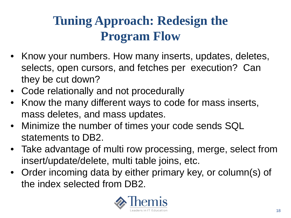### **Tuning Approach: Redesign the Program Flow**

- Know your numbers. How many inserts, updates, deletes, selects, open cursors, and fetches per execution? Can they be cut down?
- Code relationally and not procedurally
- Know the many different ways to code for mass inserts, mass deletes, and mass updates.
- Minimize the number of times your code sends SQL statements to DB2.
- Take advantage of multi row processing, merge, select from insert/update/delete, multi table joins, etc.
- Order incoming data by either primary key, or column(s) of the index selected from DB2.

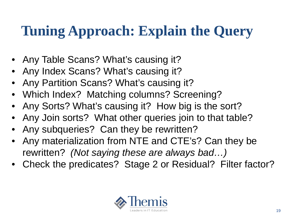## **Tuning Approach: Explain the Query**

- Any Table Scans? What's causing it?
- Any Index Scans? What's causing it?
- Any Partition Scans? What's causing it?
- Which Index? Matching columns? Screening?
- Any Sorts? What's causing it? How big is the sort?
- Any Join sorts? What other queries join to that table?
- Any subqueries? Can they be rewritten?
- Any materialization from NTE and CTE's? Can they be rewritten? *(Not saying these are always bad…)*
- Check the predicates? Stage 2 or Residual? Filter factor?

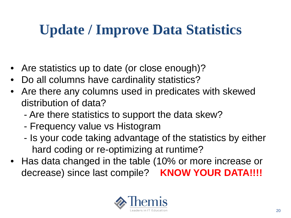## **Update / Improve Data Statistics**

- Are statistics up to date (or close enough)?
- Do all columns have cardinality statistics?
- Are there any columns used in predicates with skewed distribution of data?
	- Are there statistics to support the data skew?
	- Frequency value vs Histogram
	- Is your code taking advantage of the statistics by either hard coding or re-optimizing at runtime?
- Has data changed in the table (10% or more increase or decrease) since last compile? **KNOW YOUR DATA!!!!**

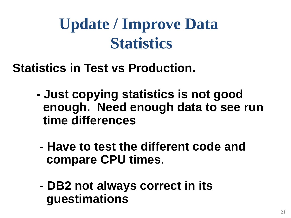# **Update / Improve Data Statistics**

**Statistics in Test vs Production.**

- **- Just copying statistics is not good enough. Need enough data to see run time differences** 
	- **- Have to test the different code and compare CPU times.**
	- **- DB2 not always correct in its guestimations**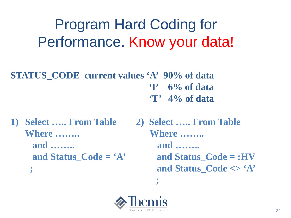## Program Hard Coding for Performance. Know your data!

**STATUS\_CODE current values 'A' 90% of data 'I' 6% of data 'T' 4% of data**

**1) Select ….. From Table 2) Select ….. From Table Where …….. Where …….. and …….. and ……..** 

**and Status\_Code = 'A' and Status\_Code = :HV ; and Status\_Code <> 'A'**



**;**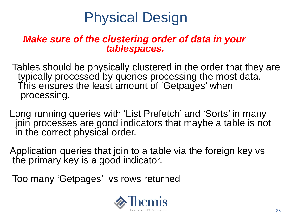## Physical Design

### *Make sure of the clustering order of data in your tablespaces.*

Tables should be physically clustered in the order that they are typically processed by queries processing the most data. This ensures the least amount of 'Getpages' when processing.

Long running queries with 'List Prefetch' and 'Sorts' in many join processes are good indicators that maybe a table is not in the correct physical order.

Application queries that join to a table via the foreign key vs the primary key is a good indicator.

Too many 'Getpages' vs rows returned

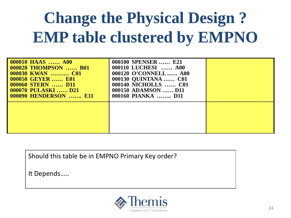# **Change the Physical Design ? EMP table clustered by EMPNO**

| <b>000010 HAAS  A00</b><br><b>000020 THOMPSON  B01</b><br>000030 KWAN  C01<br><b>000050 GEYER  E01</b><br>000060 STERN  D11<br>000070 PULASKI  D21<br><b>000090 HENDERSON  E11</b> | 000100 SPENSER  E21<br>000110 LUCHESI  A00<br>000120 O'CONNELL A00<br>000130 QUINTANA  C01<br>000140 NICHOLLS  C01<br>000150 ADAMSON  D11<br>000160 PIANKA  D11 |  |
|------------------------------------------------------------------------------------------------------------------------------------------------------------------------------------|-----------------------------------------------------------------------------------------------------------------------------------------------------------------|--|
|                                                                                                                                                                                    |                                                                                                                                                                 |  |

Should this table be in EMPNO Primary Key order?

It Depends…..

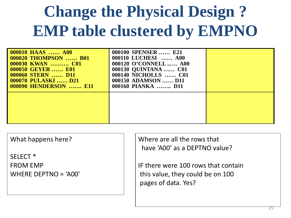# **Change the Physical Design ? EMP table clustered by EMPNO**

| <b>000010 HAAS</b> A00<br><b>000020 THOMPSON  B01</b><br>000030 KWAN  C01<br><b>000050 GEYER  E01</b><br><b>000060 STERN  D11</b><br><b>000070 PULASKI  D21</b><br><b>000090 HENDERSON  E11</b> | 000100 SPENSER  E21<br>000110 LUCHESI  A00<br>000120 O'CONNELL A00<br>000130 QUINTANA  C01<br>000140 NICHOLLS  C01<br>000150 ADAMSON  D11<br>000160 PIANKA  D11 |  |
|-------------------------------------------------------------------------------------------------------------------------------------------------------------------------------------------------|-----------------------------------------------------------------------------------------------------------------------------------------------------------------|--|
|                                                                                                                                                                                                 |                                                                                                                                                                 |  |

What happens here?

SELECT \* FROM EMP WHERE DEPTNO = 'A00' Where are all the rows that have 'A00' as a DEPTNO value?

IF there were 100 rows that contain this value, they could be on 100 pages of data. Yes?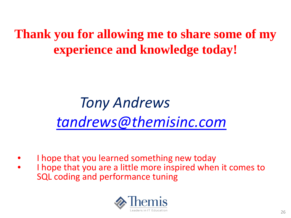**Thank you for allowing me to share some of my experience and knowledge today!**

# *Tony Andrews [tandrews@themisinc.com](mailto:tandrews@themisinc.com)*

- I hope that you learned something new today
- I hope that you are a little more inspired when it comes to SQL coding and performance tuning

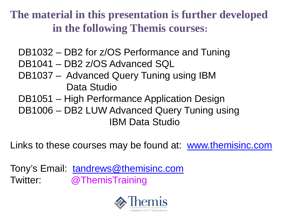**The material in this presentation is further developed in the following Themis courses:**

- DB1032 DB2 for z/OS Performance and Tuning
- DB1041 DB2 z/OS Advanced SQL
- DB1037 Advanced Query Tuning using IBM Data Studio
- DB1051 High Performance Application Design
- DB1006 DB2 LUW Advanced Query Tuning using IBM Data Studio

Links to these courses may be found at: [www.themisinc.com](http://www.themisinc.com/webinars)

Tony's Email: [tandrews@themisinc.com](mailto:tandrews@themisinc.com) Twitter: @ThemisTraining

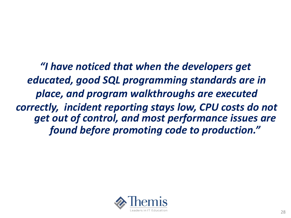*"I have noticed that when the developers get educated, good SQL programming standards are in place, and program walkthroughs are executed correctly, incident reporting stays low, CPU costs do not get out of control, and most performance issues are found before promoting code to production."*